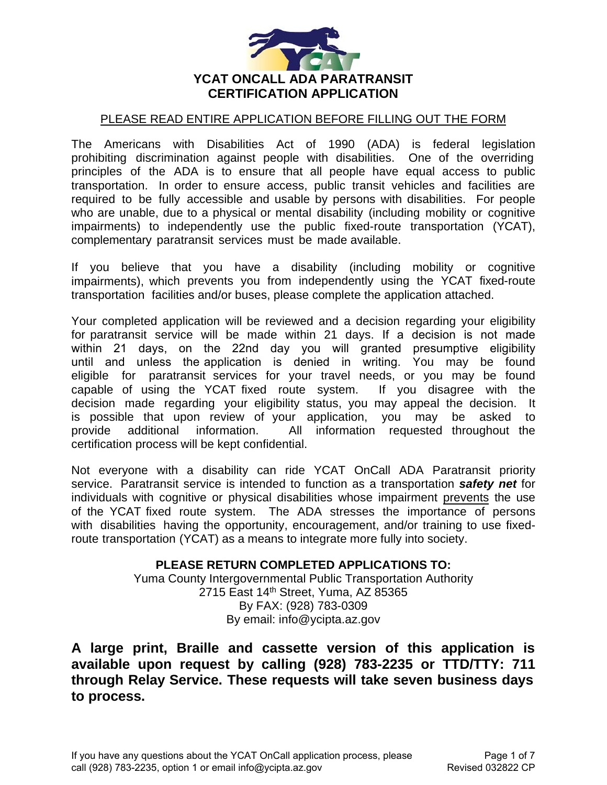

#### PLEASE READ ENTIRE APPLICATION BEFORE FILLING OUT THE FORM

The Americans with Disabilities Act of 1990 (ADA) is federal legislation prohibiting discrimination against people with disabilities. One of the overriding principles of the ADA is to ensure that all people have equal access to public transportation. In order to ensure access, public transit vehicles and facilities are required to be fully accessible and usable by persons with disabilities. For people who are unable, due to a physical or mental disability (including mobility or cognitive impairments) to independently use the public fixed-route transportation (YCAT), complementary paratransit services must be made available.

If you believe that you have a disability (including mobility or cognitive impairments), which prevents you from independently using the YCAT fixed-route transportation facilities and/or buses, please complete the application attached.

Your completed application will be reviewed and a decision regarding your eligibility for paratransit service will be made within 21 days. If a decision is not made within 21 days, on the 22nd day you will granted presumptive eligibility until and unless the application is denied in writing. You may be found eligible for paratransit services for your travel needs, or you may be found capable of using the YCAT fixed route system. If you disagree with the decision made regarding your eligibility status, you may appeal the decision. It is possible that upon review of your application, you may be asked to provide additional information. All information requested throughout the certification process will be kept confidential.

Not everyone with a disability can ride YCAT OnCall ADA Paratransit priority service. Paratransit service is intended to function as a transportation *safety net* for individuals with cognitive or physical disabilities whose impairment prevents the use of the YCAT fixed route system. The ADA stresses the importance of persons with disabilities having the opportunity, encouragement, and/or training to use fixedroute transportation (YCAT) as a means to integrate more fully into society.

### **PLEASE RETURN COMPLETED APPLICATIONS TO:**

Yuma County Intergovernmental Public Transportation Authority 2715 East 14 th Street, Yuma, AZ 85365 By FAX: (928) 783-0309 By email: info@ycipta.az.gov

**A large print, Braille and cassette version of this application is available upon request by calling (928) 783-2235 or TTD/TTY: 711 through Relay Service. These requests will take seven business days to process.**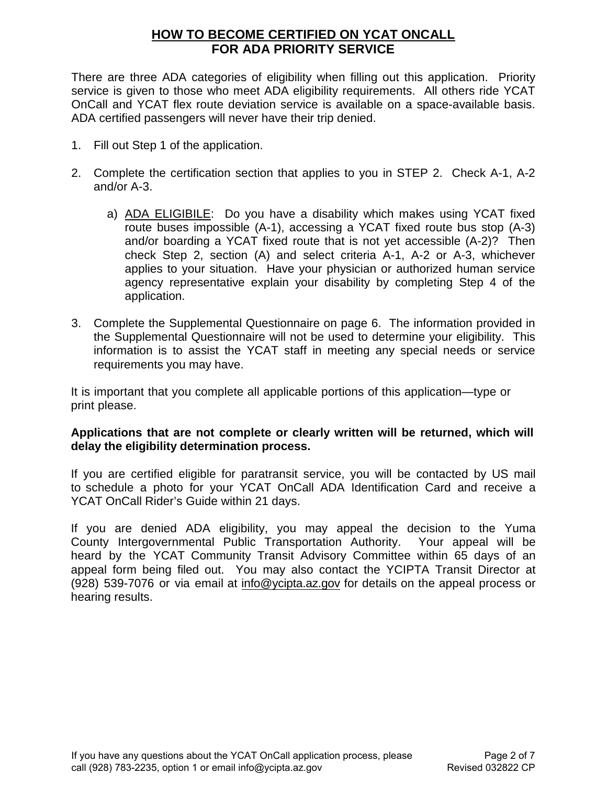# **HOW TO BECOME CERTIFIED ON YCAT ONCALL FOR ADA PRIORITY SERVICE**

There are three ADA categories of eligibility when filling out this application. Priority service is given to those who meet ADA eligibility requirements. All others ride YCAT OnCall and YCAT flex route deviation service is available on a space-available basis. ADA certified passengers will never have their trip denied.

- 1. Fill out Step 1 of the application.
- 2. Complete the certification section that applies to you in STEP 2. Check A-1, A-2 and/or A-3.
	- a) ADA ELIGIBILE: Do you have a disability which makes using YCAT fixed route buses impossible (A-1), accessing a YCAT fixed route bus stop (A-3) and/or boarding a YCAT fixed route that is not yet accessible (A-2)? Then check Step 2, section (A) and select criteria A-1, A-2 or A-3, whichever applies to your situation. Have your physician or authorized human service agency representative explain your disability by completing Step 4 of the application.
- 3. Complete the Supplemental Questionnaire on page 6. The information provided in the Supplemental Questionnaire will not be used to determine your eligibility. This information is to assist the YCAT staff in meeting any special needs or service requirements you may have.

It is important that you complete all applicable portions of this application—type or print please.

## **Applications that are not complete or clearly written will be returned, which will delay the eligibility determination process.**

If you are certified eligible for paratransit service, you will be contacted by US mail to schedule a photo for your YCAT OnCall ADA Identification Card and receive a YCAT OnCall Rider's Guide within 21 days.

If you are denied ADA eligibility, you may appeal the decision to the Yuma County Intergovernmental Public Transportation Authority. Your appeal will be heard by the YCAT Community Transit Advisory Committee within 65 days of an appeal form being filed out. You may also contact the YCIPTA Transit Director at (928) 539-7076 or via email at info@ycipta.az.gov for details on the appeal process or hearing results.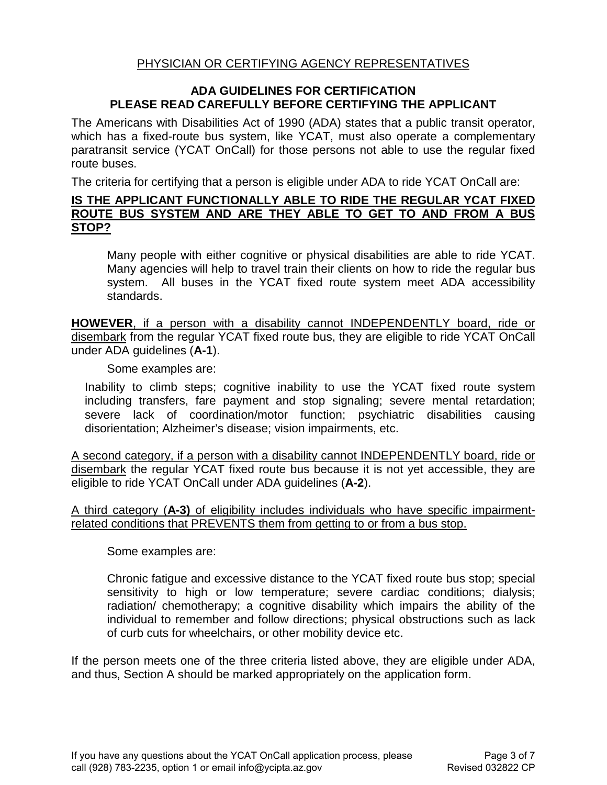# PHYSICIAN OR CERTIFYING AGENCY REPRESENTATIVES

### **ADA GUIDELINES FOR CERTIFICATION PLEASE READ CAREFULLY BEFORE CERTIFYING THE APPLICANT**

The Americans with Disabilities Act of 1990 (ADA) states that a public transit operator, which has a fixed-route bus system, like YCAT, must also operate a complementary paratransit service (YCAT OnCall) for those persons not able to use the regular fixed route buses.

The criteria for certifying that a person is eligible under ADA to ride YCAT OnCall are:

## **IS THE APPLICANT FUNCTIONALLY ABLE TO RIDE THE REGULAR YCAT FIXED ROUTE BUS SYSTEM AND ARE THEY ABLE TO GET TO AND FROM A BUS STOP?**

Many people with either cognitive or physical disabilities are able to ride YCAT. Many agencies will help to travel train their clients on how to ride the regular bus system. All buses in the YCAT fixed route system meet ADA accessibility standards.

**HOWEVER**, if a person with a disability cannot INDEPENDENTLY board, ride or disembark from the regular YCAT fixed route bus, they are eligible to ride YCAT OnCall under ADA guidelines (**A-1**).

Some examples are:

Inability to climb steps; cognitive inability to use the YCAT fixed route system including transfers, fare payment and stop signaling; severe mental retardation; severe lack of coordination/motor function; psychiatric disabilities causing disorientation; Alzheimer's disease; vision impairments, etc.

A second category, if a person with a disability cannot INDEPENDENTLY board, ride or disembark the regular YCAT fixed route bus because it is not yet accessible, they are eligible to ride YCAT OnCall under ADA guidelines (**A-2**).

A third category (**A-3)** of eligibility includes individuals who have specific impairmentrelated conditions that PREVENTS them from getting to or from a bus stop.

Some examples are:

Chronic fatigue and excessive distance to the YCAT fixed route bus stop; special sensitivity to high or low temperature; severe cardiac conditions; dialysis; radiation/ chemotherapy; a cognitive disability which impairs the ability of the individual to remember and follow directions; physical obstructions such as lack of curb cuts for wheelchairs, or other mobility device etc.

If the person meets one of the three criteria listed above, they are eligible under ADA, and thus, Section A should be marked appropriately on the application form.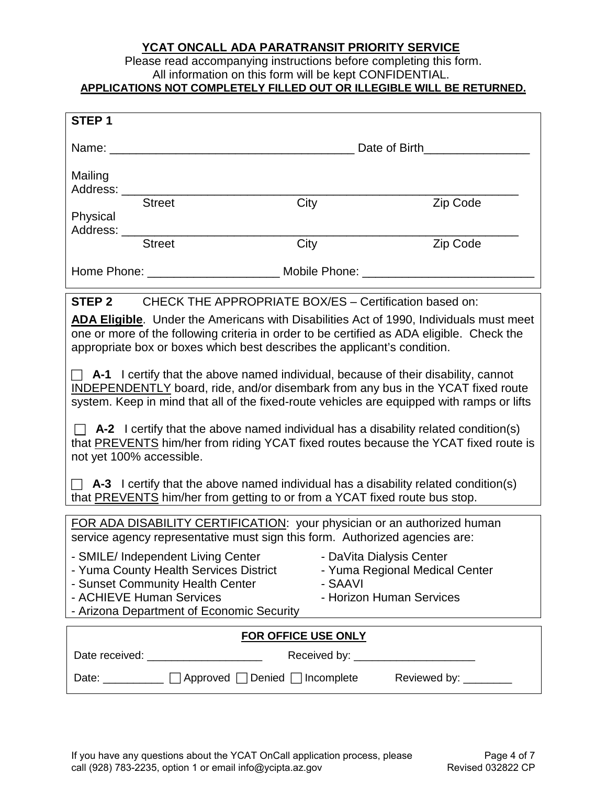# **YCAT ONCALL ADA PARATRANSIT PRIORITY SERVICE**

#### Please read accompanying instructions before completing this form. All information on this form will be kept CONFIDENTIAL. **APPLICATIONS NOT COMPLETELY FILLED OUT OR ILLEGIBLE WILL BE RETURNED.**

| STEP <sub>1</sub>                                                                                                                                                                                                                                                                  |                                                                                                                                                                                           |                                                                                  |                                                                                        |  |  |  |
|------------------------------------------------------------------------------------------------------------------------------------------------------------------------------------------------------------------------------------------------------------------------------------|-------------------------------------------------------------------------------------------------------------------------------------------------------------------------------------------|----------------------------------------------------------------------------------|----------------------------------------------------------------------------------------|--|--|--|
|                                                                                                                                                                                                                                                                                    |                                                                                                                                                                                           |                                                                                  | Date of Birth <b>Example 20</b>                                                        |  |  |  |
| Mailing<br>Address: ________                                                                                                                                                                                                                                                       |                                                                                                                                                                                           |                                                                                  |                                                                                        |  |  |  |
| Physical<br>Address: _______                                                                                                                                                                                                                                                       | <b>Street</b>                                                                                                                                                                             | City                                                                             | Zip Code                                                                               |  |  |  |
|                                                                                                                                                                                                                                                                                    | <b>Street</b>                                                                                                                                                                             | City                                                                             | Zip Code                                                                               |  |  |  |
|                                                                                                                                                                                                                                                                                    |                                                                                                                                                                                           | Home Phone: __________________________Mobile Phone: ____________________________ |                                                                                        |  |  |  |
| <b>STEP 2</b>                                                                                                                                                                                                                                                                      |                                                                                                                                                                                           | CHECK THE APPROPRIATE BOX/ES - Certification based on:                           |                                                                                        |  |  |  |
| ADA Eligible. Under the Americans with Disabilities Act of 1990, Individuals must meet<br>one or more of the following criteria in order to be certified as ADA eligible. Check the<br>appropriate box or boxes which best describes the applicant's condition.                    |                                                                                                                                                                                           |                                                                                  |                                                                                        |  |  |  |
| $\Box$ A-1 I certify that the above named individual, because of their disability, cannot<br><b>INDEPENDENTLY</b> board, ride, and/or disembark from any bus in the YCAT fixed route<br>system. Keep in mind that all of the fixed-route vehicles are equipped with ramps or lifts |                                                                                                                                                                                           |                                                                                  |                                                                                        |  |  |  |
| $\Box$ A-2 I certify that the above named individual has a disability related condition(s)<br>that <b>PREVENTS</b> him/her from riding YCAT fixed routes because the YCAT fixed route is<br>not yet 100% accessible.                                                               |                                                                                                                                                                                           |                                                                                  |                                                                                        |  |  |  |
| $\Box$ A-3 I certify that the above named individual has a disability related condition(s)<br>that PREVENTS him/her from getting to or from a YCAT fixed route bus stop.                                                                                                           |                                                                                                                                                                                           |                                                                                  |                                                                                        |  |  |  |
| FOR ADA DISABILITY CERTIFICATION: your physician or an authorized human<br>service agency representative must sign this form. Authorized agencies are:                                                                                                                             |                                                                                                                                                                                           |                                                                                  |                                                                                        |  |  |  |
|                                                                                                                                                                                                                                                                                    | - SMILE/ Independent Living Center<br>- Yuma County Health Services District<br>- Sunset Community Health Center<br>- ACHIEVE Human Services<br>- Arizona Department of Economic Security | - SAAVI                                                                          | - DaVita Dialysis Center<br>- Yuma Regional Medical Center<br>- Horizon Human Services |  |  |  |
| <b>FOR OFFICE USE ONLY</b>                                                                                                                                                                                                                                                         |                                                                                                                                                                                           |                                                                                  |                                                                                        |  |  |  |
|                                                                                                                                                                                                                                                                                    | Date received: ________________________                                                                                                                                                   |                                                                                  |                                                                                        |  |  |  |
|                                                                                                                                                                                                                                                                                    |                                                                                                                                                                                           | Date: <u>_</u> _________ □ Approved □ Denied □ Incomplete                        | Reviewed by: ________                                                                  |  |  |  |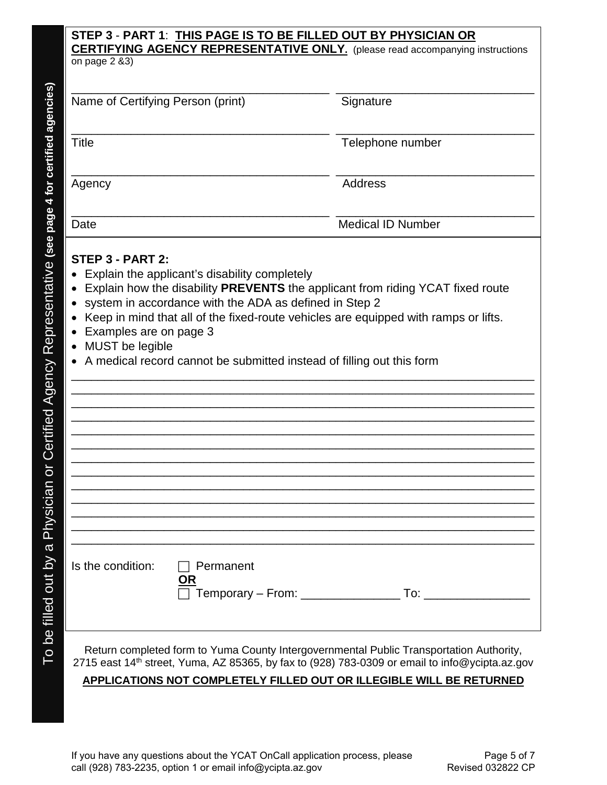# **STEP 3** - **PART 1**: **THIS PAGE IS TO BE FILLED OUT BY PHYSICIAN OR CERTIFYING AGENCY REPRESENTATIVE ONLY.** (please read accompanying instructions

| on page 2 &3)                                                                             |                                                                                                                                          |                                                                                                                                                                                                                                                  |
|-------------------------------------------------------------------------------------------|------------------------------------------------------------------------------------------------------------------------------------------|--------------------------------------------------------------------------------------------------------------------------------------------------------------------------------------------------------------------------------------------------|
| Name of Certifying Person (print)                                                         |                                                                                                                                          | Signature                                                                                                                                                                                                                                        |
| Title                                                                                     |                                                                                                                                          | Telephone number                                                                                                                                                                                                                                 |
| Agency                                                                                    |                                                                                                                                          | <b>Address</b>                                                                                                                                                                                                                                   |
| Date                                                                                      |                                                                                                                                          | <b>Medical ID Number</b>                                                                                                                                                                                                                         |
| STEP 3 - PART 2:<br>Examples are on page 3<br><b>MUST</b> be legible<br>Is the condition: | Explain the applicant's disability completely<br>system in accordance with the ADA as defined in Step 2<br>$\Box$ Permanent<br><u>OR</u> | Explain how the disability PREVENTS the applicant from riding YCAT fixed route<br>Keep in mind that all of the fixed-route vehicles are equipped with ramps or lifts.<br>• A medical record cannot be submitted instead of filling out this form |
|                                                                                           |                                                                                                                                          |                                                                                                                                                                                                                                                  |
|                                                                                           |                                                                                                                                          |                                                                                                                                                                                                                                                  |

Return completed form to Yuma County Intergovernmental Public Transportation Authority, 2715 east 14<sup>th</sup> street, Yuma, AZ 85365, by fax to (928) 783-0309 or email to info@ycipta.az.gov

## **APPLICATIONS NOT COMPLETELY FILLED OUT OR ILLEGIBLE WILL BE RETURNED**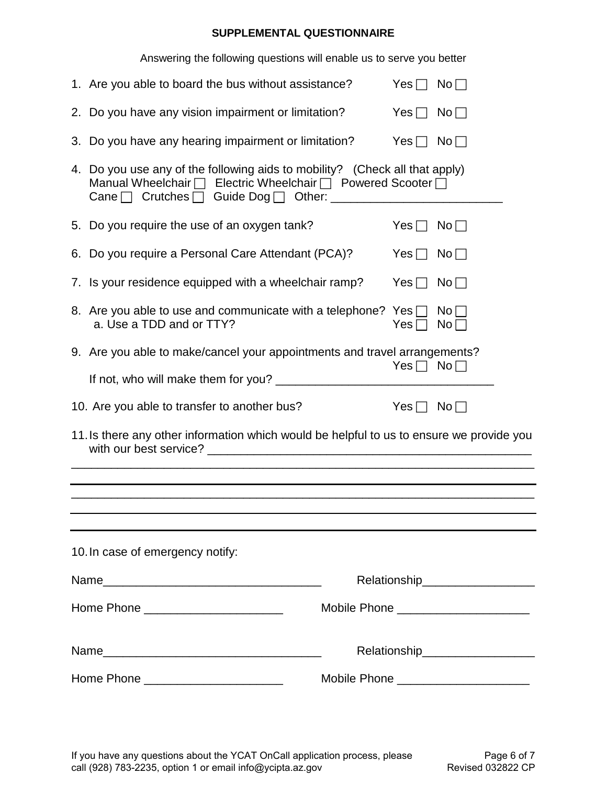#### **SUPPLEMENTAL QUESTIONNAIRE**

|                                                                                                                                                                                                                                            | Answering the following questions will enable us to serve you better                                                                                                                                                                      |            |        |                                       |  |  |
|--------------------------------------------------------------------------------------------------------------------------------------------------------------------------------------------------------------------------------------------|-------------------------------------------------------------------------------------------------------------------------------------------------------------------------------------------------------------------------------------------|------------|--------|---------------------------------------|--|--|
|                                                                                                                                                                                                                                            | 1. Are you able to board the bus without assistance?                                                                                                                                                                                      | Yes [      |        | $No \Box$                             |  |  |
|                                                                                                                                                                                                                                            | 2. Do you have any vision impairment or limitation?                                                                                                                                                                                       | Yes $\Box$ |        | No                                    |  |  |
|                                                                                                                                                                                                                                            | 3. Do you have any hearing impairment or limitation?                                                                                                                                                                                      | Yes $\Box$ |        | $\mathsf{No}\,\Box$                   |  |  |
|                                                                                                                                                                                                                                            | 4. Do you use any of the following aids to mobility? (Check all that apply)<br>Manual Wheelchair   Electric Wheelchair   Powered Scooter  <br>Cane C Crutches Guide Dog C Other: Canadian Canadian Canadian Crutches C Guide Dog C Other: |            |        |                                       |  |  |
|                                                                                                                                                                                                                                            | 5. Do you require the use of an oxygen tank?                                                                                                                                                                                              | Yes $\Box$ |        | $No \Box$                             |  |  |
|                                                                                                                                                                                                                                            | 6. Do you require a Personal Care Attendant (PCA)?                                                                                                                                                                                        | Yes [      | $\Box$ | $No \Box$                             |  |  |
|                                                                                                                                                                                                                                            | 7. Is your residence equipped with a wheelchair ramp?                                                                                                                                                                                     | Yes [      | $\Box$ | No <sub>1</sub>                       |  |  |
|                                                                                                                                                                                                                                            | 8. Are you able to use and communicate with a telephone? Yes<br>a. Use a TDD and or TTY?                                                                                                                                                  | Yes        |        | $No \Box$<br>$No \Box$                |  |  |
|                                                                                                                                                                                                                                            | 9. Are you able to make/cancel your appointments and travel arrangements?                                                                                                                                                                 |            |        | Yes $\Box$ No $\Box$                  |  |  |
|                                                                                                                                                                                                                                            |                                                                                                                                                                                                                                           |            |        |                                       |  |  |
|                                                                                                                                                                                                                                            | 10. Are you able to transfer to another bus?                                                                                                                                                                                              | Yes $\Box$ |        | $No \Box$                             |  |  |
| 11. Is there any other information which would be helpful to us to ensure we provide you<br>with our best service?<br><u> 1980 - Jan Barat, margaret amerikan basar dan berasal dari berasal dalam basar dalam basar dalam basar dalam</u> |                                                                                                                                                                                                                                           |            |        |                                       |  |  |
|                                                                                                                                                                                                                                            |                                                                                                                                                                                                                                           |            |        |                                       |  |  |
|                                                                                                                                                                                                                                            |                                                                                                                                                                                                                                           |            |        |                                       |  |  |
|                                                                                                                                                                                                                                            | 10. In case of emergency notify:                                                                                                                                                                                                          |            |        |                                       |  |  |
|                                                                                                                                                                                                                                            |                                                                                                                                                                                                                                           |            |        | Relationship____________________      |  |  |
|                                                                                                                                                                                                                                            | Home Phone _________________________                                                                                                                                                                                                      |            |        | Mobile Phone ______________________   |  |  |
|                                                                                                                                                                                                                                            |                                                                                                                                                                                                                                           |            |        | Relationship____________________      |  |  |
|                                                                                                                                                                                                                                            |                                                                                                                                                                                                                                           |            |        | Mobile Phone ________________________ |  |  |